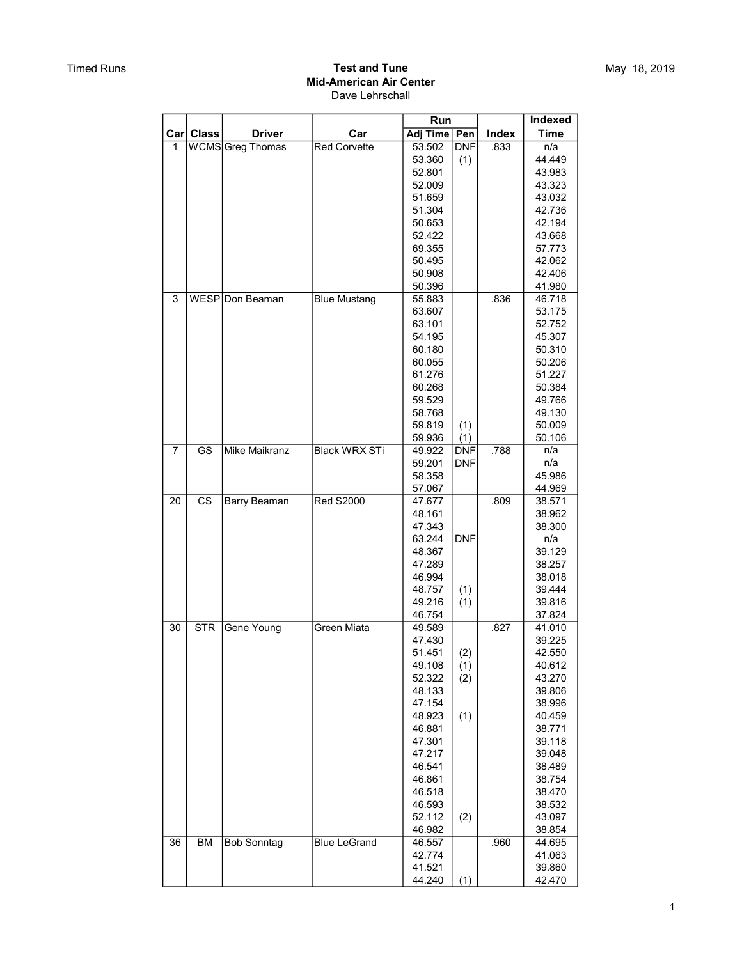|    |                        |                      |                      | Run              |            |       | Indexed          |
|----|------------------------|----------------------|----------------------|------------------|------------|-------|------------------|
|    | Car Class              | <b>Driver</b>        | Car                  | Adj Time   Pen   |            | Index | <b>Time</b>      |
| 1  |                        | WCMSGreg Thomas      | <b>Red Corvette</b>  | 53.502           | <b>DNF</b> | .833  | n/a              |
|    |                        |                      |                      | 53.360           | (1)        |       | 44.449           |
|    |                        |                      |                      | 52.801           |            |       | 43.983           |
|    |                        |                      |                      | 52.009           |            |       | 43.323           |
|    |                        |                      |                      | 51.659           |            |       | 43.032           |
|    |                        |                      |                      | 51.304           |            |       | 42.736           |
|    |                        |                      |                      | 50.653           |            |       | 42.194           |
|    |                        |                      |                      | 52.422           |            |       | 43.668           |
|    |                        |                      |                      | 69.355           |            |       | 57.773           |
|    |                        |                      |                      | 50.495           |            |       | 42.062           |
|    |                        |                      |                      | 50.908           |            |       | 42.406           |
|    |                        |                      |                      | 50.396           |            |       | 41.980           |
| 3  |                        | WESP Don Beaman      | <b>Blue Mustang</b>  | 55.883           |            | .836  | 46.718           |
|    |                        |                      |                      | 63.607           |            |       | 53.175           |
|    |                        |                      |                      | 63.101           |            |       | 52.752           |
|    |                        |                      |                      | 54.195           |            |       | 45.307           |
|    |                        |                      |                      | 60.180           |            |       | 50.310           |
|    |                        |                      |                      | 60.055           |            |       | 50.206           |
|    |                        |                      |                      | 61.276           |            |       | 51.227           |
|    |                        |                      |                      | 60.268           |            |       | 50.384           |
|    |                        |                      |                      | 59.529           |            |       | 49.766           |
|    |                        |                      |                      | 58.768           |            |       | 49.130           |
|    |                        |                      |                      | 59.819           | (1)        |       | 50.009           |
|    |                        |                      |                      | 59.936           | (1)        |       | 50.106           |
| 7  | $\overline{\text{GS}}$ | <b>Mike Maikranz</b> | <b>Black WRX STi</b> | 49.922           | <b>DNF</b> | .788  | n/a              |
|    |                        |                      |                      | 59.201           | <b>DNF</b> |       | n/a              |
|    |                        |                      |                      | 58.358           |            |       | 45.986           |
|    |                        |                      |                      | 57.067           |            |       | 44.969           |
| 20 | CS                     | Barry Beaman         | <b>Red S2000</b>     | 47.677           |            | .809  | 38.571           |
|    |                        |                      |                      | 48.161<br>47.343 |            |       | 38.962           |
|    |                        |                      |                      | 63.244           | <b>DNF</b> |       | 38.300<br>n/a    |
|    |                        |                      |                      | 48.367           |            |       | 39.129           |
|    |                        |                      |                      | 47.289           |            |       | 38.257           |
|    |                        |                      |                      | 46.994           |            |       | 38.018           |
|    |                        |                      |                      | 48.757           | (1)        |       | 39.444           |
|    |                        |                      |                      | 49.216           | (1)        |       | 39.816           |
|    |                        |                      |                      | 46.754           |            |       | 37.824           |
| 30 | <b>STR</b>             | Gene Young           | Green Miata          | 49.589           |            | .827  | 41.010           |
|    |                        |                      |                      | 47.430           |            |       | 39.225           |
|    |                        |                      |                      | 51.451           | (2)        |       | 42.550           |
|    |                        |                      |                      | 49.108           | (1)        |       | 40.612           |
|    |                        |                      |                      | 52.322           | (2)        |       | 43.270           |
|    |                        |                      |                      | 48.133           |            |       | 39.806           |
|    |                        |                      |                      | 47.154           |            |       | 38.996           |
|    |                        |                      |                      | 48.923           | (1)        |       | 40.459           |
|    |                        |                      |                      | 46.881           |            |       | 38.771           |
|    |                        |                      |                      | 47.301           |            |       | 39.118           |
|    |                        |                      |                      | 47.217           |            |       | 39.048           |
|    |                        |                      |                      | 46.541           |            |       | 38.489           |
|    |                        |                      |                      | 46.861           |            |       | 38.754           |
|    |                        |                      |                      | 46.518           |            |       | 38.470           |
|    |                        |                      |                      | 46.593           |            |       | 38.532           |
|    |                        |                      |                      | 52.112           | (2)        |       | 43.097           |
| 36 | BM                     | <b>Bob Sonntag</b>   | <b>Blue LeGrand</b>  | 46.982<br>46.557 |            | .960  | 38.854<br>44.695 |
|    |                        |                      |                      | 42.774           |            |       | 41.063           |
|    |                        |                      |                      | 41.521           |            |       | 39.860           |
|    |                        |                      |                      | 44.240           | (1)        |       | 42.470           |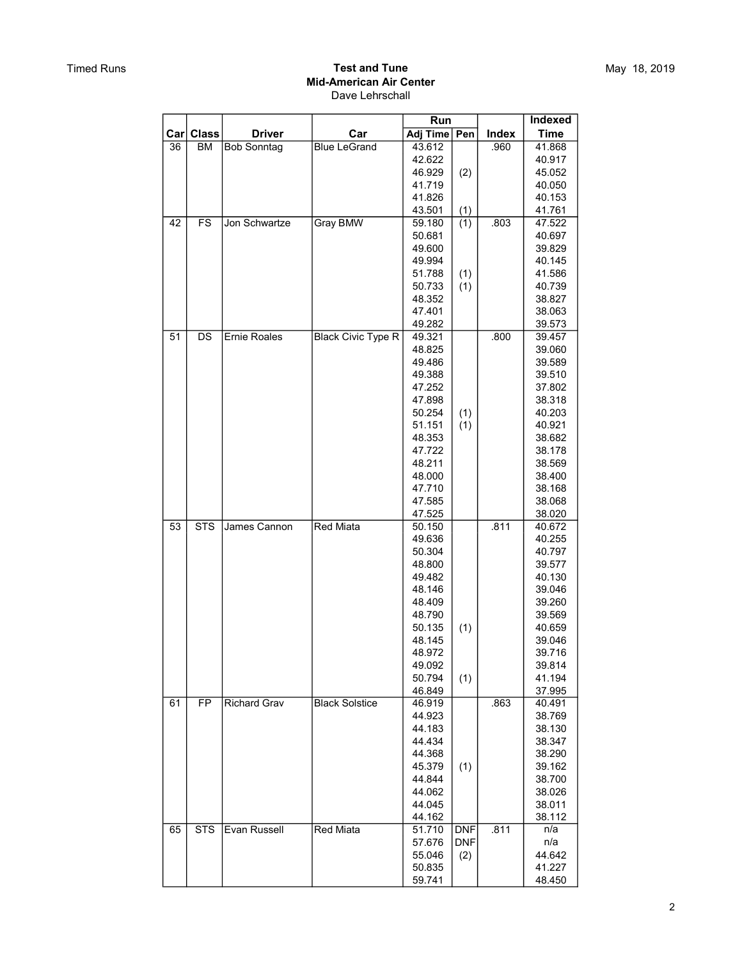|                         |              |                     |                           | Run              |            |       | <b>Indexed</b>   |
|-------------------------|--------------|---------------------|---------------------------|------------------|------------|-------|------------------|
| $\lfloor$ Car $\rfloor$ | <b>Class</b> | <b>Driver</b>       | Car                       | Adj Time   Pen   |            | Index | <b>Time</b>      |
| 36                      | BM           | <b>Bob Sonntag</b>  | <b>Blue LeGrand</b>       | 43.612           |            | .960  | 41.868           |
|                         |              |                     |                           | 42.622           |            |       | 40.917           |
|                         |              |                     |                           | 46.929           | (2)        |       | 45.052           |
|                         |              |                     |                           | 41.719           |            |       | 40.050           |
|                         |              |                     |                           | 41.826           |            |       | 40.153           |
|                         |              |                     |                           | 43.501           | (1)        |       | 41.761           |
| 42                      | <b>FS</b>    | Jon Schwartze       | <b>Gray BMW</b>           | 59.180           | (1)        | .803  | 47.522           |
|                         |              |                     |                           | 50.681           |            |       | 40.697           |
|                         |              |                     |                           | 49.600           |            |       | 39.829           |
|                         |              |                     |                           | 49.994           |            |       | 40.145           |
|                         |              |                     |                           | 51.788           | (1)        |       | 41.586           |
|                         |              |                     |                           | 50.733           | (1)        |       | 40.739           |
|                         |              |                     |                           | 48.352<br>47.401 |            |       | 38.827<br>38.063 |
|                         |              |                     |                           | 49.282           |            |       | 39.573           |
| 51                      | <b>DS</b>    | <b>Ernie Roales</b> | <b>Black Civic Type R</b> | 49.321           |            | .800  | 39.457           |
|                         |              |                     |                           | 48.825           |            |       | 39.060           |
|                         |              |                     |                           | 49.486           |            |       | 39.589           |
|                         |              |                     |                           | 49.388           |            |       | 39.510           |
|                         |              |                     |                           | 47.252           |            |       | 37.802           |
|                         |              |                     |                           | 47.898           |            |       | 38.318           |
|                         |              |                     |                           | 50.254           | (1)        |       | 40.203           |
|                         |              |                     |                           | 51.151           | (1)        |       | 40.921           |
|                         |              |                     |                           | 48.353           |            |       | 38.682           |
|                         |              |                     |                           | 47.722           |            |       | 38.178           |
|                         |              |                     |                           | 48.211           |            |       | 38.569           |
|                         |              |                     |                           | 48.000           |            |       | 38.400           |
|                         |              |                     |                           | 47.710           |            |       | 38.168           |
|                         |              |                     |                           | 47.585           |            |       | 38.068           |
| 53                      | <b>STS</b>   | James Cannon        | <b>Red Miata</b>          | 47.525<br>50.150 |            | .811  | 38.020<br>40.672 |
|                         |              |                     |                           | 49.636           |            |       | 40.255           |
|                         |              |                     |                           | 50.304           |            |       | 40.797           |
|                         |              |                     |                           | 48.800           |            |       | 39.577           |
|                         |              |                     |                           | 49.482           |            |       | 40.130           |
|                         |              |                     |                           | 48.146           |            |       | 39.046           |
|                         |              |                     |                           | 48.409           |            |       | 39.260           |
|                         |              |                     |                           | 48.790           |            |       | 39.569           |
|                         |              |                     |                           | 50.135           | (1)        |       | 40.659           |
|                         |              |                     |                           | 48.145           |            |       | 39.046           |
|                         |              |                     |                           | 48.972           |            |       | 39.716           |
|                         |              |                     |                           | 49.092           |            |       | 39.814           |
|                         |              |                     |                           | 50.794           | (1)        |       | 41.194           |
| 61                      | <b>FP</b>    | <b>Richard Grav</b> | <b>Black Solstice</b>     | 46.849<br>46.919 |            | .863  | 37.995<br>40.491 |
|                         |              |                     |                           | 44.923           |            |       | 38.769           |
|                         |              |                     |                           | 44.183           |            |       | 38.130           |
|                         |              |                     |                           | 44.434           |            |       | 38.347           |
|                         |              |                     |                           | 44.368           |            |       | 38.290           |
|                         |              |                     |                           | 45.379           | (1)        |       | 39.162           |
|                         |              |                     |                           | 44.844           |            |       | 38.700           |
|                         |              |                     |                           | 44.062           |            |       | 38.026           |
|                         |              |                     |                           | 44.045           |            |       | 38.011           |
|                         |              |                     |                           | 44.162           |            |       | 38.112           |
| 65                      | <b>STS</b>   | Evan Russell        | <b>Red Miata</b>          | 51.710           | <b>DNF</b> | .811  | n/a              |
|                         |              |                     |                           | 57.676           | <b>DNF</b> |       | n/a              |
|                         |              |                     |                           | 55.046           | (2)        |       | 44.642           |
|                         |              |                     |                           | 50.835           |            |       | 41.227           |
|                         |              |                     |                           | 59.741           |            |       | 48.450           |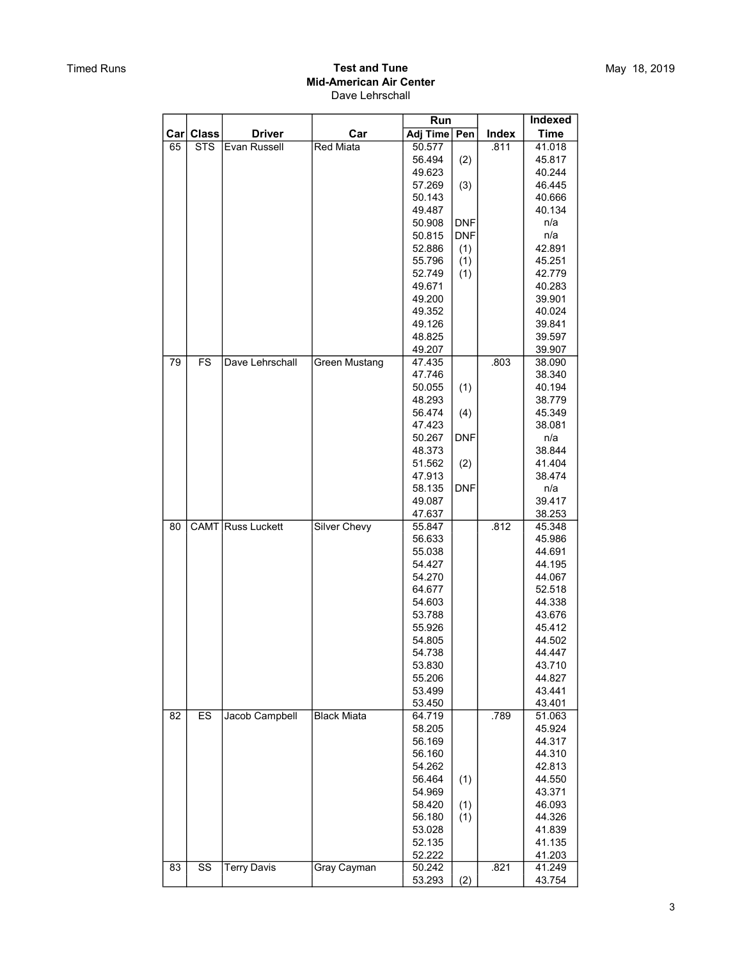|                |                        |                    |                      | Run              |            |       | Indexed          |
|----------------|------------------------|--------------------|----------------------|------------------|------------|-------|------------------|
| $\mathsf{Car}$ | <b>Class</b>           | <b>Driver</b>      | Car                  | Adj Time         | Pen        | Index | <b>Time</b>      |
| 65             | <b>STS</b>             | Evan Russell       | <b>Red Miata</b>     | 50.577           |            | .811  | 41.018           |
|                |                        |                    |                      | 56.494           | (2)        |       | 45.817           |
|                |                        |                    |                      | 49.623           |            |       | 40.244           |
|                |                        |                    |                      | 57.269           | (3)        |       | 46.445           |
|                |                        |                    |                      | 50.143           |            |       | 40.666           |
|                |                        |                    |                      | 49.487           |            |       | 40.134           |
|                |                        |                    |                      | 50.908           | <b>DNF</b> |       | n/a              |
|                |                        |                    |                      | 50.815           | <b>DNF</b> |       | n/a              |
|                |                        |                    |                      | 52.886           | (1)        |       | 42.891           |
|                |                        |                    |                      | 55.796           | (1)        |       | 45.251           |
|                |                        |                    |                      | 52.749           | (1)        |       | 42.779<br>40.283 |
|                |                        |                    |                      | 49.671<br>49.200 |            |       | 39.901           |
|                |                        |                    |                      | 49.352           |            |       | 40.024           |
|                |                        |                    |                      | 49.126           |            |       | 39.841           |
|                |                        |                    |                      | 48.825           |            |       | 39.597           |
|                |                        |                    |                      | 49.207           |            |       | 39.907           |
| 79             | <b>FS</b>              | Dave Lehrschall    | <b>Green Mustang</b> | 47.435           |            | .803  | 38.090           |
|                |                        |                    |                      | 47.746           |            |       | 38.340           |
|                |                        |                    |                      | 50.055           | (1)        |       | 40.194           |
|                |                        |                    |                      | 48.293           |            |       | 38.779           |
|                |                        |                    |                      | 56.474           | (4)        |       | 45.349           |
|                |                        |                    |                      | 47.423           |            |       | 38.081           |
|                |                        |                    |                      | 50.267           | <b>DNF</b> |       | n/a              |
|                |                        |                    |                      | 48.373           |            |       | 38.844           |
|                |                        |                    |                      | 51.562           | (2)        |       | 41.404           |
|                |                        |                    |                      | 47.913           |            |       | 38.474           |
|                |                        |                    |                      | 58.135           | <b>DNF</b> |       | n/a              |
|                |                        |                    |                      | 49.087           |            |       | 39.417           |
|                |                        |                    |                      | 47.637           |            |       | 38.253           |
| 80             |                        | CAMT Russ Luckett  | <b>Silver Chevy</b>  | 55.847           |            | .812  | 45.348           |
|                |                        |                    |                      | 56.633           |            |       | 45.986           |
|                |                        |                    |                      | 55.038           |            |       | 44.691           |
|                |                        |                    |                      | 54.427           |            |       | 44.195           |
|                |                        |                    |                      | 54.270           |            |       | 44.067           |
|                |                        |                    |                      | 64.677<br>54.603 |            |       | 52.518           |
|                |                        |                    |                      | 53.788           |            |       | 44.338<br>43.676 |
|                |                        |                    |                      | 55.926           |            |       | 45.412           |
|                |                        |                    |                      | 54.805           |            |       | 44.502           |
|                |                        |                    |                      | 54.738           |            |       | 44.447           |
|                |                        |                    |                      | 53.830           |            |       | 43.710           |
|                |                        |                    |                      | 55.206           |            |       | 44.827           |
|                |                        |                    |                      | 53.499           |            |       | 43.441           |
|                |                        |                    |                      | 53.450           |            |       | 43.401           |
| 82             | ES                     | Jacob Campbell     | <b>Black Miata</b>   | 64.719           |            | .789  | 51.063           |
|                |                        |                    |                      | 58.205           |            |       | 45.924           |
|                |                        |                    |                      | 56.169           |            |       | 44.317           |
|                |                        |                    |                      | 56.160           |            |       | 44.310           |
|                |                        |                    |                      | 54.262           |            |       | 42.813           |
|                |                        |                    |                      | 56.464           | (1)        |       | 44.550           |
|                |                        |                    |                      | 54.969           |            |       | 43.371           |
|                |                        |                    |                      | 58.420           | (1)        |       | 46.093           |
|                |                        |                    |                      | 56.180           | (1)        |       | 44.326           |
|                |                        |                    |                      | 53.028           |            |       | 41.839           |
|                |                        |                    |                      | 52.135           |            |       | 41.135           |
|                |                        |                    |                      | 52.222           |            |       | 41.203           |
| 83             | $\overline{\text{ss}}$ | <b>Terry Davis</b> | Gray Cayman          | 50.242           |            | .821  | 41.249           |
|                |                        |                    |                      | 53.293           | (2)        |       | 43.754           |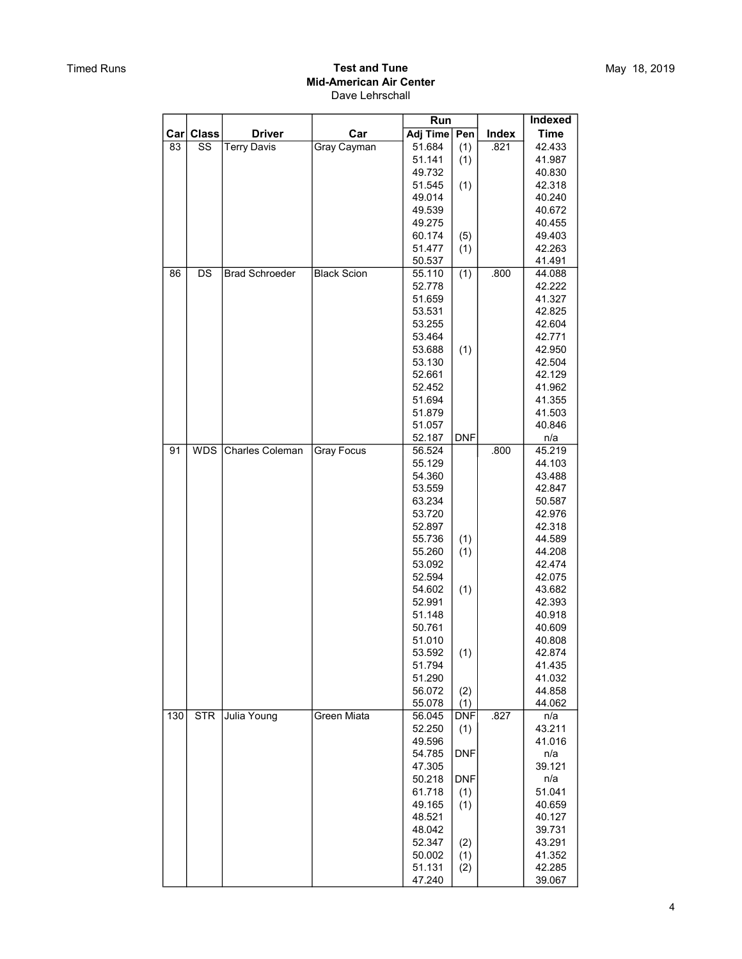|     |              |                        |                    | Run              |            |       | Indexed          |
|-----|--------------|------------------------|--------------------|------------------|------------|-------|------------------|
| Car | <b>Class</b> | <b>Driver</b>          | Car                | Adj Time   Pen   |            | Index | <b>Time</b>      |
| 83  | SS           | <b>Terry Davis</b>     | Gray Cayman        | 51.684           | (1)        | .821  | 42.433           |
|     |              |                        |                    | 51.141           | (1)        |       | 41.987           |
|     |              |                        |                    | 49.732           |            |       | 40.830           |
|     |              |                        |                    | 51.545           | (1)        |       | 42.318           |
|     |              |                        |                    | 49.014           |            |       | 40.240           |
|     |              |                        |                    | 49.539           |            |       | 40.672           |
|     |              |                        |                    | 49.275           |            |       | 40.455           |
|     |              |                        |                    | 60.174           | (5)        |       | 49.403           |
|     |              |                        |                    | 51.477           | (1)        |       | 42.263           |
|     |              |                        |                    | 50.537           |            |       | 41.491           |
| 86  | DS           | <b>Brad Schroeder</b>  | <b>Black Scion</b> | 55.110           | (1)        | .800  | 44.088           |
|     |              |                        |                    | 52.778           |            |       | 42.222           |
|     |              |                        |                    | 51.659           |            |       | 41.327           |
|     |              |                        |                    | 53.531           |            |       | 42.825           |
|     |              |                        |                    | 53.255           |            |       | 42.604           |
|     |              |                        |                    | 53.464           |            |       | 42.771           |
|     |              |                        |                    | 53.688<br>53.130 | (1)        |       | 42.950<br>42.504 |
|     |              |                        |                    |                  |            |       |                  |
|     |              |                        |                    | 52.661<br>52.452 |            |       | 42.129<br>41.962 |
|     |              |                        |                    | 51.694           |            |       | 41.355           |
|     |              |                        |                    | 51.879           |            |       | 41.503           |
|     |              |                        |                    | 51.057           |            |       | 40.846           |
|     |              |                        |                    | 52.187           | <b>DNF</b> |       | n/a              |
| 91  | <b>WDS</b>   | <b>Charles Coleman</b> | <b>Gray Focus</b>  | 56.524           |            | .800  | 45.219           |
|     |              |                        |                    | 55.129           |            |       | 44.103           |
|     |              |                        |                    | 54.360           |            |       | 43.488           |
|     |              |                        |                    | 53.559           |            |       | 42.847           |
|     |              |                        |                    | 63.234           |            |       | 50.587           |
|     |              |                        |                    | 53.720           |            |       | 42.976           |
|     |              |                        |                    | 52.897           |            |       | 42.318           |
|     |              |                        |                    | 55.736           | (1)        |       | 44.589           |
|     |              |                        |                    | 55.260           | (1)        |       | 44.208           |
|     |              |                        |                    | 53.092           |            |       | 42.474           |
|     |              |                        |                    | 52.594           |            |       | 42.075           |
|     |              |                        |                    | 54.602           | (1)        |       | 43.682           |
|     |              |                        |                    | 52.991           |            |       | 42.393           |
|     |              |                        |                    | 51.148           |            |       | 40.918           |
|     |              |                        |                    | 50.761           |            |       | 40.609           |
|     |              |                        |                    | 51.010           |            |       | 40.808           |
|     |              |                        |                    | 53.592           | (1)        |       | 42.874           |
|     |              |                        |                    | 51.794           |            |       | 41.435<br>41.032 |
|     |              |                        |                    | 51.290<br>56.072 | (2)        |       | 44.858           |
|     |              |                        |                    |                  |            |       | 44.062           |
| 130 | <b>STR</b>   | Julia Young            | Green Miata        | 55.078<br>56.045 | (1)<br>DNF | .827  | n/a              |
|     |              |                        |                    | 52.250           | (1)        |       | 43.211           |
|     |              |                        |                    | 49.596           |            |       | 41.016           |
|     |              |                        |                    | 54.785           | <b>DNF</b> |       | n/a              |
|     |              |                        |                    | 47.305           |            |       | 39.121           |
|     |              |                        |                    | 50.218           | <b>DNF</b> |       | n/a              |
|     |              |                        |                    | 61.718           | (1)        |       | 51.041           |
|     |              |                        |                    | 49.165           | (1)        |       | 40.659           |
|     |              |                        |                    | 48.521           |            |       | 40.127           |
|     |              |                        |                    | 48.042           |            |       | 39.731           |
|     |              |                        |                    | 52.347           | (2)        |       | 43.291           |
|     |              |                        |                    | 50.002           | (1)        |       | 41.352           |
|     |              |                        |                    | 51.131           | (2)        |       | 42.285           |
|     |              |                        |                    | 47.240           |            |       | 39.067           |